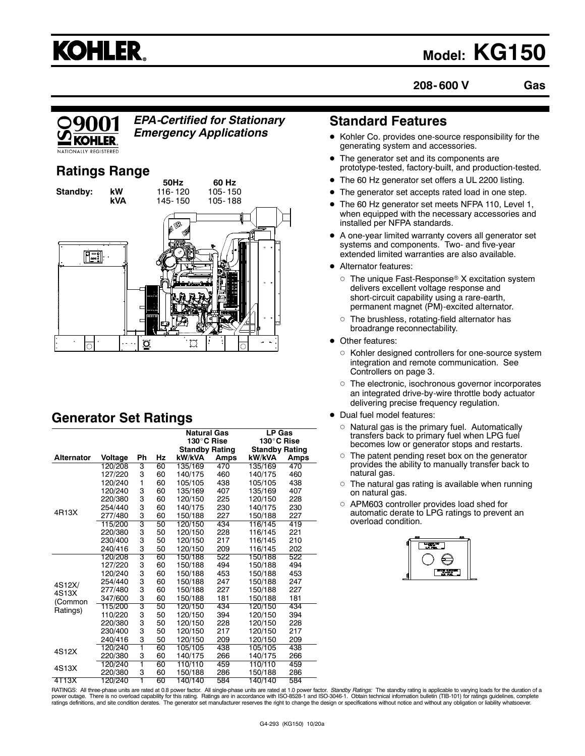## **KOHLER.**

### **Model: KG150**

**208- 600 V Gas**



*EPA-Certified for Stationary Emergency Applications*

#### **Ratings Range**



#### **Generator Set Ratings**

|                            |         |    |    | <b>Natural Gas</b>    |      | LP Gas                |             |
|----------------------------|---------|----|----|-----------------------|------|-----------------------|-------------|
|                            |         |    |    | 130°C Rise            |      | 130°C Rise            |             |
|                            |         |    |    | <b>Standby Rating</b> |      | <b>Standby Rating</b> |             |
| <b>Alternator</b>          | Voltage | Ph | Hz | kW/kVA                | Amps | kW/kVA                | <b>Amps</b> |
|                            | 120/208 | 3  | 60 | 135/169               | 470  | 135/169               | 470         |
|                            | 127/220 | 3  | 60 | 140/175               | 460  | 140/175               | 460         |
|                            | 120/240 | 1  | 60 | 105/105               | 438  | 105/105               | 438         |
|                            | 120/240 | 3  | 60 | 135/169               | 407  | 135/169               | 407         |
|                            | 220/380 | 3  | 60 | 120/150               | 225  | 120/150               | 228         |
|                            | 254/440 | 3  | 60 | 140/175               | 230  | 140/175               | 230         |
| 4R13X                      | 277/480 | 3  | 60 | 150/188               | 227  | 150/188               | 227         |
|                            | 115/200 | 3  | 50 | 120/150               | 434  | 116/145               | 419         |
|                            | 220/380 | 3  | 50 | 120/150               | 228  | 116/145               | 221         |
|                            | 230/400 | 3  | 50 | 120/150               | 217  | 116/145               | 210         |
|                            | 240/416 | 3  | 50 | 120/150               | 209  | 116/145               | 202         |
|                            | 120/208 | 3  | 60 | 150/188               | 522  | 150/188               | 522         |
|                            | 127/220 | 3  | 60 | 150/188               | 494  | 150/188               | 494         |
| 4S12X/<br>4S13X<br>(Common | 120/240 | 3  | 60 | 150/188               | 453  | 150/188               | 453         |
|                            | 254/440 | 3  | 60 | 150/188               | 247  | 150/188               | 247         |
|                            | 277/480 | 3  | 60 | 150/188               | 227  | 150/188               | 227         |
|                            | 347/600 | 3  | 60 | 150/188               | 181  | 150/188               | 181         |
| Ratings)                   | 115/200 | 3  | 50 | 120/150               | 434  | 120/150               | 434         |
|                            | 110/220 | 3  | 50 | 120/150               | 394  | 120/150               | 394         |
|                            | 220/380 | 3  | 50 | 120/150               | 228  | 120/150               | 228         |
|                            | 230/400 | 3  | 50 | 120/150               | 217  | 120/150               | 217         |
|                            | 240/416 | 3  | 50 | 120/150               | 209  | 120/150               | 209         |
| 4S12X                      | 120/240 | 1  | 60 | 105/105               | 438  | 105/105               | 438         |
|                            | 220/380 | 3  | 60 | 140/175               | 266  | 140/175               | 266         |
| 4S13X                      | 120/240 | ī  | 60 | 110/110               | 459  | 110/110               | 459         |
|                            | 220/380 | 3  | 60 | 150/188               | 286  | 150/188               | 286         |
| 4T13X                      | 120/240 | 1  | 60 | 140/140               | 584  | 140/140               | 584         |

#### **Standard Features**

- Kohler Co. provides one-source responsibility for the generating system and accessories.
- The generator set and its components are prototype-tested, factory-built, and production-tested.
- The 60 Hz generator set offers a UL 2200 listing.
- The generator set accepts rated load in one step.
- The 60 Hz generator set meets NFPA 110, Level 1, when equipped with the necessary accessories and installed per NFPA standards.
- A one-year limited warranty covers all generator set systems and components. Two- and five-year extended limited warranties are also available.
- **Alternator features:** 
	- $\circ~$  The unique Fast-Response® X excitation system delivers excellent voltage response and short-circuit capability using a rare-earth, permanent magnet (PM)-excited alternator.
	- $\circ~$  The brushless, rotating-field alternator has broadrange reconnectability.
- Other features:
	- $\circ$  Kohler designed controllers for one-source system integration and remote communication. See Controllers on page 3.
	- $\circ~$  The electronic, isochronous governor incorporates an integrated drive-by-wire throttle body actuator delivering precise frequency regulation.
- Dual fuel model features:
	- $\circ$  Natural gas is the primary fuel. Automatically transfers back to primary fuel when LPG fuel becomes low or generator stops and restarts.
	- $\circ$  The patent pending reset box on the generator provides the ability to manually transfer back to natural gas.
	- $\circ$  The natural gas rating is available when running on natural gas.
	- $\circ$  APM603 controller provides load shed for automatic derate to LPG ratings to prevent an overload condition.



RATINGS: All three-phase units are rated at 0.8 power factor. All single-phase units are rated at 1.0 power factor. *Standby Ratings:* The standby rating is applicable to varying loads for the duration of a<br>power outage. T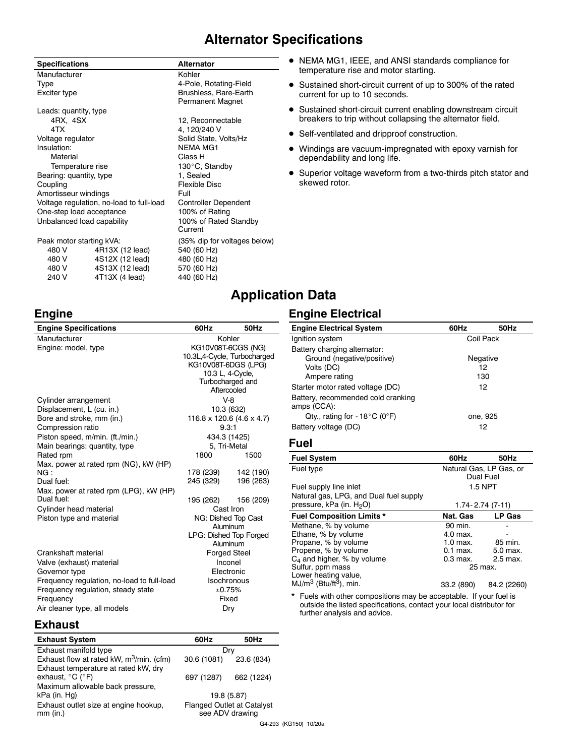#### **Alternator Specifications**

| <b>Specifications</b>      |                                          | <b>Alternator</b>            |  |
|----------------------------|------------------------------------------|------------------------------|--|
| Manufacturer               |                                          | Kohler                       |  |
| Type                       |                                          | 4-Pole, Rotating-Field       |  |
| Exciter type               |                                          | <b>Brushless, Rare-Earth</b> |  |
|                            |                                          | Permanent Magnet             |  |
| Leads: quantity, type      |                                          |                              |  |
| 4RX. 4SX                   |                                          | 12, Reconnectable            |  |
| 4TX                        |                                          | 4, 120/240 V                 |  |
| Voltage regulator          |                                          | Solid State, Volts/Hz        |  |
| Insulation:                |                                          | <b>NEMA MG1</b>              |  |
| Material                   |                                          | Class H                      |  |
| Temperature rise           |                                          | 130°C, Standby               |  |
| Bearing: quantity, type    |                                          | 1, Sealed                    |  |
| Coupling                   |                                          | Flexible Disc                |  |
| Amortisseur windings       |                                          | Full                         |  |
|                            | Voltage regulation, no-load to full-load | <b>Controller Dependent</b>  |  |
| One-step load acceptance   |                                          | 100% of Rating               |  |
| Unbalanced load capability |                                          | 100% of Rated Standby        |  |
|                            |                                          | Current                      |  |
| Peak motor starting kVA:   |                                          | (35% dip for voltages be     |  |
| 480 V                      | 4R13X (12 lead)                          | 540 (60 Hz)                  |  |
|                            |                                          |                              |  |

480 V 4S12X (12 lead) 480 (60 Hz)<br>480 V 4S13X (12 lead) 570 (60 Hz) 480 V 4S13X (12 lead) 570 (60 Hz)<br>240 V 4T13X (4 lead) 440 (60 Hz)  $4T13X (4 lead)$ 

**Engine**

# s below)

- NEMA MG1, IEEE, and ANSI standards compliance for temperature rise and motor starting.
- Sustained short-circuit current of up to 300% of the rated current for up to 10 seconds.
- Sustained short-circuit current enabling downstream circuit breakers to trip without collapsing the alternator field.
- Self-ventilated and dripproof construction.
- Windings are vacuum-impregnated with epoxy varnish for dependability and long life.
- Superior voltage waveform from a two-thirds pitch stator and skewed rotor.

#### **Application Data**

#### **Engine Electrical**

| <b>Engine Specifications</b>               | 60Hz                      | 50Hz                            |
|--------------------------------------------|---------------------------|---------------------------------|
| Manufacturer                               | Kohler                    |                                 |
| Engine: model, type                        | KG10V08T-6CGS (NG)        |                                 |
|                                            |                           | 10.3L,4-Cycle, Turbocharged     |
|                                            | KG10V08T-6DGS (LPG)       |                                 |
|                                            |                           | 10.3 L, 4-Cycle,                |
|                                            |                           | Turbocharged and                |
|                                            |                           | Aftercooled                     |
| Cylinder arrangement                       |                           | $V-8$                           |
| Displacement, L (cu. in.)                  |                           | 10.3 (632)                      |
| Bore and stroke, mm (in.)                  |                           | 116.8 x 120.6 (4.6 x 4.7)       |
| Compression ratio                          | 9.3:1                     |                                 |
| Piston speed, m/min. (ft./min.)            | 434.3 (1425)              |                                 |
| Main bearings: quantity, type              | 5, Tri-Metal              |                                 |
| Rated rpm                                  | 1800                      | 1500                            |
| Max. power at rated rpm (NG), kW (HP)      |                           |                                 |
| NG:                                        | 178 (239)                 | 142 (190)                       |
| Dual fuel:                                 | 245 (329)                 | 196 (263)                       |
| Max. power at rated rpm (LPG), kW (HP)     |                           |                                 |
| Dual fuel:                                 |                           | 195 (262) 156 (209)             |
| Cylinder head material                     |                           | Cast Iron                       |
| Piston type and material                   |                           | NG: Dished Top Cast<br>Aluminum |
|                                            |                           | LPG: Dished Top Forged          |
|                                            |                           | Aluminum                        |
| Crankshaft material                        |                           | <b>Forged Steel</b>             |
| Valve (exhaust) material                   |                           | Inconel                         |
| Governor type                              |                           |                                 |
| Frequency regulation, no-load to full-load | Electronic<br>Isochronous |                                 |
| Frequency regulation, steady state         | ±0.75%                    |                                 |
| Frequency                                  |                           | Fixed                           |
|                                            |                           |                                 |
| Air cleaner type, all models               |                           | Dry                             |

| <b>Engine Electrical System</b>                     | 60Hz      | 50Hz |  |
|-----------------------------------------------------|-----------|------|--|
| Ignition system                                     | Coil Pack |      |  |
| Battery charging alternator:                        |           |      |  |
| Ground (negative/positive)                          | Negative  |      |  |
| Volts (DC)                                          |           | 12   |  |
| Ampere rating                                       |           | 130  |  |
| Starter motor rated voltage (DC)                    | 12        |      |  |
| Battery, recommended cold cranking<br>amps (CCA):   |           |      |  |
| Qty., rating for - 18 $^{\circ}$ C (0 $^{\circ}$ F) | one, 925  |      |  |
| Battery voltage (DC)                                |           | 12   |  |
|                                                     |           |      |  |

#### **Fuel**

| <b>Fuel System</b>                                           | 60Hz                    | 50Hz          |
|--------------------------------------------------------------|-------------------------|---------------|
| Fuel type                                                    | Natural Gas, LP Gas, or |               |
|                                                              | Dual Fuel               |               |
| Fuel supply line inlet                                       | 1.5 NPT                 |               |
| Natural gas, LPG, and Dual fuel supply                       |                         |               |
| pressure, kPa (in. H <sub>2</sub> O)                         | $1.74 - 2.74(7 - 11)$   |               |
| <b>Fuel Composition Limits *</b>                             | Nat. Gas                | <b>LP Gas</b> |
| Methane, % by volume                                         | 90 min.                 |               |
| Ethane, % by volume                                          | 4.0 max.                |               |
| Propane, % by volume                                         | $1.0$ max.              | 85 min.       |
| Propene, % by volume                                         | $0.1$ max.              | 5.0 max.      |
| $C_4$ and higher, % by volume                                | $0.3$ max.              | 2.5 max.      |
| Sulfur, ppm mass                                             | 25 max.                 |               |
| Lower heating value,<br>$MJ/m3$ (Btu/ft <sup>3</sup> ), min. | 33.2 (890)              | 84.2 (2260)   |

\* Fuels with other compositions may be acceptable. If your fuel is outside the listed specifications, contact your local distributor for further analysis and advice.

#### **Exhaust**

| <b>Exhaust System</b>                                                         | 60Hz                                                 | 50Hz       |
|-------------------------------------------------------------------------------|------------------------------------------------------|------------|
| Exhaust manifold type                                                         |                                                      | Drv        |
| Exhaust flow at rated kW, m <sup>3</sup> /min. (cfm)                          | 30.6 (1081)                                          | 23.6 (834) |
| Exhaust temperature at rated kW, dry<br>exhaust, $^{\circ}$ C ( $^{\circ}$ F) | 697 (1287)                                           | 662 (1224) |
| Maximum allowable back pressure,<br>kPa (in. Hg)                              | 19.8 (5.87)                                          |            |
| Exhaust outlet size at engine hookup,<br>$mm$ (in.)                           | <b>Flanged Outlet at Catalyst</b><br>see ADV drawing |            |
|                                                                               |                                                      |            |

G4-293 (KG150) 10/20a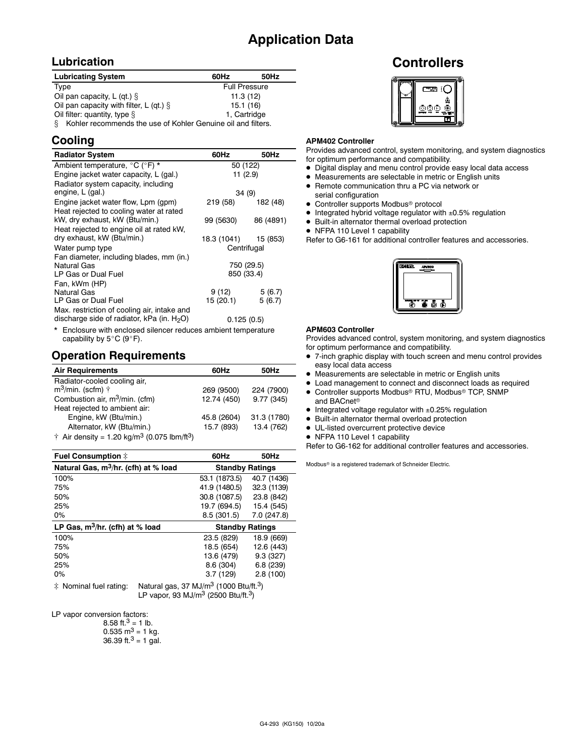#### **Application Data**

#### **Lubrication**

| <b>Lubricating System</b>                                         | 60Hz                 | 50Hz |
|-------------------------------------------------------------------|----------------------|------|
| Type                                                              | <b>Full Pressure</b> |      |
| Oil pan capacity, L (qt.) $\S$                                    | 11.3(12)             |      |
| Oil pan capacity with filter, L (qt.) $\S$<br>15.1(16)            |                      |      |
| 1. Cartridge<br>Oil filter: quantity, type $\S$                   |                      |      |
| Kohler recommends the use of Kohler Genuine oil and filters.<br>8 |                      |      |

#### **Cooling**

| <b>Radiator System</b>                                                                       | 60Hz                 | 50Hz        |
|----------------------------------------------------------------------------------------------|----------------------|-------------|
| Ambient temperature, °C (°F) *                                                               |                      | 50 (122)    |
| Engine jacket water capacity, L (gal.)                                                       |                      | 11(2.9)     |
| Radiator system capacity, including                                                          |                      |             |
| engine, L (gal.)                                                                             |                      | 34 (9)      |
| Engine jacket water flow, Lpm (gpm)                                                          | 219 (58)             | 182 (48)    |
| Heat rejected to cooling water at rated<br>kW, dry exhaust, kW (Btu/min.)                    | 99 (5630)            | 86 (4891)   |
| Heat rejected to engine oil at rated kW,                                                     |                      |             |
| dry exhaust, kW (Btu/min.)                                                                   | 18.3 (1041) 15 (853) |             |
| Water pump type                                                                              |                      | Centrifugal |
| Fan diameter, including blades, mm (in.)<br>Natural Gas                                      |                      | 750 (29.5)  |
| LP Gas or Dual Fuel                                                                          |                      | 850 (33.4)  |
| Fan, kWm (HP)                                                                                |                      |             |
| <b>Natural Gas</b>                                                                           | 9(12)                | 5(6.7)      |
| LP Gas or Dual Fuel                                                                          | 15 (20.1)            | 5(6.7)      |
| Max. restriction of cooling air, intake and<br>discharge side of radiator, kPa (in. $H_2O$ ) |                      | 0.125(0.5)  |
|                                                                                              |                      |             |

\* Enclosure with enclosed silencer reduces ambient temperature capability by  $5^{\circ}$ C (9°F).

#### **Operation Requirements**

| <b>Air Requirements</b>                                                     | 60Hz        | 50Hz        |
|-----------------------------------------------------------------------------|-------------|-------------|
| Radiator-cooled cooling air,                                                |             |             |
| $m^3$ /min. (scfm) $\uparrow$                                               | 269 (9500)  | 224 (7900)  |
| Combustion air, m <sup>3</sup> /min. (cfm)                                  | 12.74 (450) | 9.77 (345)  |
| Heat rejected to ambient air:                                               |             |             |
| Engine, kW (Btu/min.)                                                       | 45.8 (2604) | 31.3 (1780) |
| Alternator, kW (Btu/min.)                                                   | 15.7 (893)  | 13.4 (762)  |
| $\dagger$ Air density = 1.20 kg/m <sup>3</sup> (0.075 lbm/ft <sup>3</sup> ) |             |             |

| <b>Fuel Consumption #</b>                                                  | 60Hz                                          | 50Hz                   |
|----------------------------------------------------------------------------|-----------------------------------------------|------------------------|
| Natural Gas, m <sup>3</sup> /hr. (cfh) at % load<br><b>Standby Ratings</b> |                                               |                        |
| 100%                                                                       | 53.1 (1873.5)                                 | 40.7 (1436)            |
| 75%                                                                        | 41.9 (1480.5)                                 | 32.3 (1139)            |
| 50%                                                                        | 30.8 (1087.5)                                 | 23.8 (842)             |
| 25%                                                                        | 19.7 (694.5)                                  | 15.4 (545)             |
| $0\%$                                                                      | 8.5(301.5)                                    | 7.0 (247.8)            |
| LP Gas, $m^3/hr$ . (cfh) at % load                                         |                                               | <b>Standby Ratings</b> |
| 100%                                                                       | 23.5 (829)                                    | 18.9 (669)             |
| 75%                                                                        | 18.5 (654)                                    | 12.6 (443)             |
| 50%                                                                        | 13.6 (479)                                    | 9.3(327)               |
| 25%                                                                        | 8.6 (304)                                     | 6.8(239)               |
| 0%                                                                         | 3.7(129)                                      | 2.8(100)               |
|                                                                            | $M - 1 = 1 - 2 = 0 = M + 1/2$ (4.000 PL /0.3) |                        |

 $\ddot{\text{*}}$  Nominal fuel rating: Natural gas, 37 MJ/m<sup>3</sup> (1000 Btu/ft.<sup>3</sup>) LP vapor, 93 MJ/m3 (2500 Btu/ft.3)

LP vapor conversion factors:

8.58 ft. $3 = 1$  lb.

- $0.535 \text{ m}^3 = 1 \text{ kg}.$
- 36.39 ft. $3 = 1$  gal.

#### **Controllers**



#### **APM402 Controller**

Provides advanced control, system monitoring, and system diagnostics - for optimum performance and compatibility.

- Digital display and menu control provide easy local data access
- Measurements are selectable in metric or English units
- Remote communication thru a PC via network or serial configuration
- Controller supports Modbus<sup>®</sup> protocol
- $\bullet$  Integrated hybrid voltage regulator with  $\pm 0.5\%$  regulation
- Built-in alternator thermal overload protection
- NFPA 110 Level 1 capability

Refer to G6-161 for additional controller features and accessories.



#### **APM603 Controller**

Provides advanced control, system monitoring, and system diagnostics for optimum performance and compatibility.

- 7-inch graphic display with touch screen and menu control provides easy local data access
- Measurements are selectable in metric or English units
- Load management to connect and disconnect loads as required
- Controller supports Modbus<sup>®</sup> RTU, Modbus<sup>®</sup> TCP, SNMP and BACnet
- $\bullet$  Integrated voltage regulator with  $\pm 0.25\%$  regulation
- Built-in alternator thermal overload protection
- UL-listed overcurrent protective device
- NFPA 110 Level 1 capability

Refer to G6-162 for additional controller features and accessories.

Modbus<sup>®</sup> is a registered trademark of Schneider Electric.